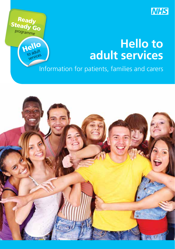

## **Hello to adult services**

Information for patients, families and carers

Ready Steady Go programme

> Hello to adult services

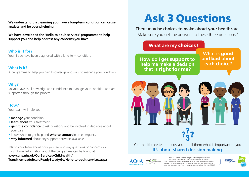**We understand that learning you have a long-term condition can cause anxiety and be overwhelming.**

**We have developed the 'Hello to adult services' programme to help support you and help address any concerns you have.**

**Who is it for?** You, if you have been diagnosed with a long-term condition.

#### **What is it?**

A programme to help you gain knowledge and skills to manage your condition.

#### **Why?**

So you have the knowledge and confidence to manage your condition and are supported through the process.

#### **How?**

Your team will help you:

- **manage** your condition
- **learn about** your treatment
- **gain the confidence** to ask questions and be involved in decisions about your care
- know when to get help and **who to contact** in an emergency
- **stay informed** about any support networks available.

Talk to your team about how you feel and any questions or concerns you might have. Information about the programme can be found at

#### **www.uhs.nhs.uk/OurServices/Childhealth/ TransitiontoadultcareReadySteadyGo/Hello-to-adult-services.aspx**

# Ask 3 Questions

#### **There may be choices to make about your healthcare.**

Make sure you get the answers to these three questions:<sup>\*</sup>

### **What are my** choices?

**How do I get support to cand bad about help me make a decision**  $\qquad$  **each choice? that is** right for me**?**

**What is** good **and** bad **about** 



Your healthcare team needs you to tell them what is important to you. **It's about shared decision making.** 



estions has been adapted with kind permission from the MAGIC programme, supported by the Health Foundation. s based on Shepherd HL, et al. Three questions that parents can ask to improve the quality of information physicians give about treatment options: A cross-over trial. Patient education and Counselling, 2011;84: 379-85